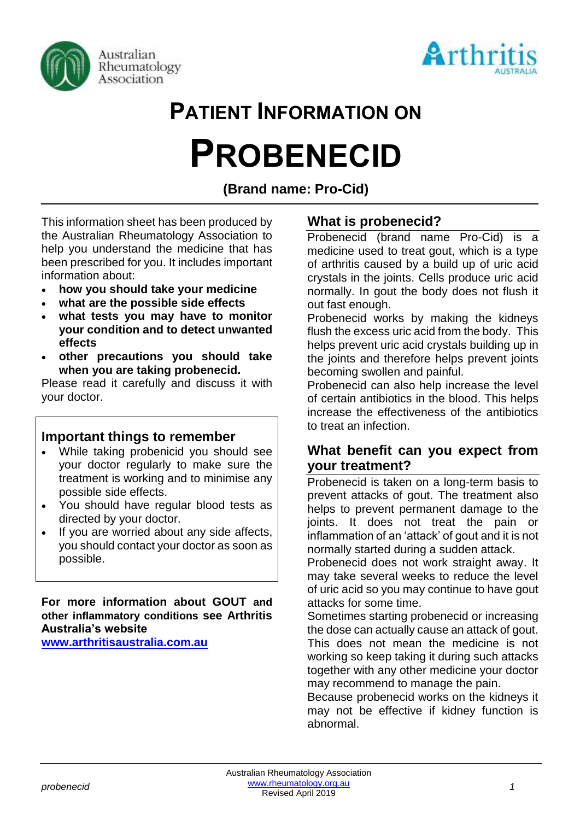



# **PATIENT INFORMATION ON PROBENECID**

# **(Brand name: Pro-Cid)**

This information sheet has been produced by the Australian Rheumatology Association to help you understand the medicine that has been prescribed for you. It includes important information about:

- **how you should take your medicine**
- **what are the possible side effects**
- **what tests you may have to monitor your condition and to detect unwanted effects**
- **other precautions you should take when you are taking probenecid.**

Please read it carefully and discuss it with your doctor.

## **Important things to remember**

- While taking probenicid you should see your doctor regularly to make sure the treatment is working and to minimise any possible side effects.
- You should have regular blood tests as directed by your doctor.
- If you are worried about any side affects, you should contact your doctor as soon as possible.

**For more information about GOUT and other inflammatory conditions see Arthritis Australia's website** 

**[www.arthritisaustralia.com.au](http://www.arthritisaustralia.com.au/index.php/arthritis-information/information-sheets.html)**

# **What is probenecid?**

Probenecid (brand name Pro-Cid) is a medicine used to treat gout, which is a type of arthritis caused by a build up of uric acid crystals in the joints. Cells produce uric acid normally. In gout the body does not flush it out fast enough.

Probenecid works by making the kidneys flush the excess uric acid from the body. This helps prevent uric acid crystals building up in the joints and therefore helps prevent joints becoming swollen and painful.

Probenecid can also help increase the level of certain antibiotics in the blood. This helps increase the effectiveness of the antibiotics to treat an infection.

## **What benefit can you expect from your treatment?**

Probenecid is taken on a long-term basis to prevent attacks of gout. The treatment also helps to prevent permanent damage to the joints. It does not treat the pain or inflammation of an 'attack' of gout and it is not normally started during a sudden attack.

Probenecid does not work straight away. It may take several weeks to reduce the level of uric acid so you may continue to have gout attacks for some time.

Sometimes starting probenecid or increasing the dose can actually cause an attack of gout. This does not mean the medicine is not working so keep taking it during such attacks together with any other medicine your doctor may recommend to manage the pain.

Because probenecid works on the kidneys it may not be effective if kidney function is abnormal.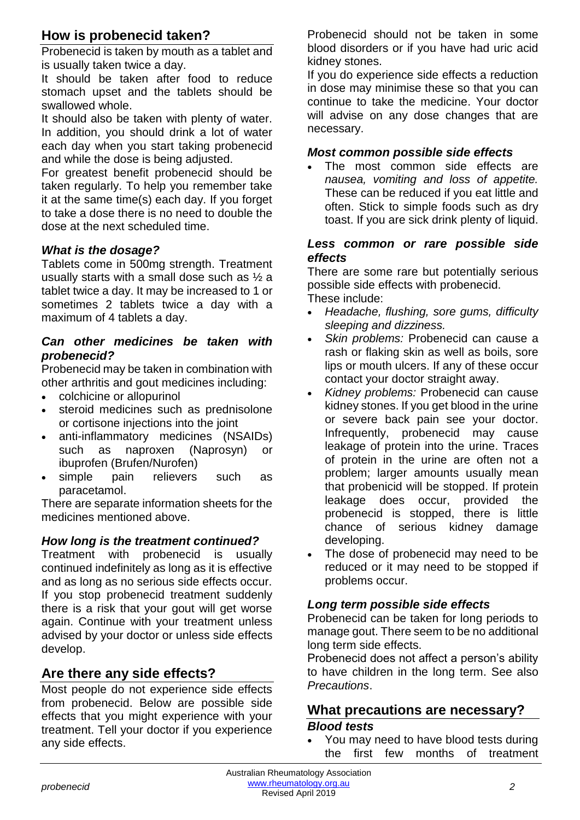# **How is probenecid taken?**

Probenecid is taken by mouth as a tablet and is usually taken twice a day.

It should be taken after food to reduce stomach upset and the tablets should be swallowed whole.

It should also be taken with plenty of water. In addition, you should drink a lot of water each day when you start taking probenecid and while the dose is being adjusted.

For greatest benefit probenecid should be taken regularly. To help you remember take it at the same time(s) each day. If you forget to take a dose there is no need to double the dose at the next scheduled time.

#### *What is the dosage?*

Tablets come in 500mg strength. Treatment usually starts with a small dose such as ½ a tablet twice a day. It may be increased to 1 or sometimes 2 tablets twice a day with a maximum of 4 tablets a day.

#### *Can other medicines be taken with probenecid?*

Probenecid may be taken in combination with other arthritis and gout medicines including:

- colchicine or allopurinol
- steroid medicines such as prednisolone or cortisone injections into the joint
- anti-inflammatory medicines (NSAIDs) such as naproxen (Naprosyn) or ibuprofen (Brufen/Nurofen)
- simple pain relievers such as paracetamol.

There are separate information sheets for the medicines mentioned above.

#### *How long is the treatment continued?*

Treatment with probenecid is usually continued indefinitely as long as it is effective and as long as no serious side effects occur. If you stop probenecid treatment suddenly there is a risk that your gout will get worse again. Continue with your treatment unless advised by your doctor or unless side effects develop.

# **Are there any side effects?**

Most people do not experience side effects from probenecid. Below are possible side effects that you might experience with your treatment. Tell your doctor if you experience any side effects.

Probenecid should not be taken in some blood disorders or if you have had uric acid kidney stones.

If you do experience side effects a reduction in dose may minimise these so that you can continue to take the medicine. Your doctor will advise on any dose changes that are necessary.

#### *Most common possible side effects*

• The most common side effects are *nausea, vomiting and loss of appetite.* These can be reduced if you eat little and often. Stick to simple foods such as dry toast. If you are sick drink plenty of liquid.

#### *Less common or rare possible side effects*

There are some rare but potentially serious possible side effects with probenecid. These include:

- *Headache, flushing, sore gums, difficulty sleeping and dizziness.*
- *Skin problems:* Probenecid can cause a rash or flaking skin as well as boils, sore lips or mouth ulcers. If any of these occur contact your doctor straight away.
- *Kidney problems:* Probenecid can cause kidney stones. If you get blood in the urine or severe back pain see your doctor. Infrequently, probenecid may cause leakage of protein into the urine. Traces of protein in the urine are often not a problem; larger amounts usually mean that probenicid will be stopped. If protein leakage does occur, provided the probenecid is stopped, there is little chance of serious kidney damage developing.
- The dose of probenecid may need to be reduced or it may need to be stopped if problems occur.

#### *Long term possible side effects*

Probenecid can be taken for long periods to manage gout. There seem to be no additional long term side effects.

Probenecid does not affect a person's ability to have children in the long term. See also *Precautions*.

# **What precautions are necessary?** *Blood tests*

• You may need to have blood tests during the first few months of treatment